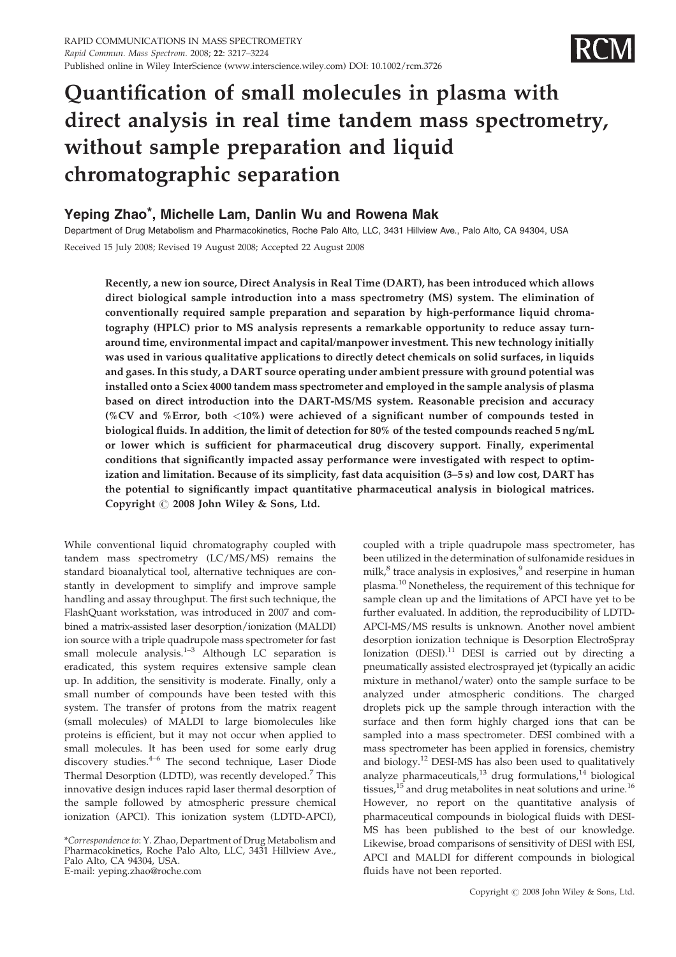# Quantification of small molecules in plasma with direct analysis in real time tandem mass spectrometry, without sample preparation and liquid chromatographic separation

# Yeping Zhao\*, Michelle Lam, Danlin Wu and Rowena Mak

Department of Drug Metabolism and Pharmacokinetics, Roche Palo Alto, LLC, 3431 Hillview Ave., Palo Alto, CA 94304, USA Received 15 July 2008; Revised 19 August 2008; Accepted 22 August 2008

Recently, a new ion source, Direct Analysis in Real Time (DART), has been introduced which allows direct biological sample introduction into a mass spectrometry (MS) system. The elimination of conventionally required sample preparation and separation by high-performance liquid chromatography (HPLC) prior to MS analysis represents a remarkable opportunity to reduce assay turnaround time, environmental impact and capital/manpower investment. This new technology initially was used in various qualitative applications to directly detect chemicals on solid surfaces, in liquids and gases. In this study, a DART source operating under ambient pressure with ground potential was installed onto a Sciex 4000 tandem mass spectrometer and employed in the sample analysis of plasma based on direct introduction into the DART-MS/MS system. Reasonable precision and accuracy (%CV and %Error, both <10%) were achieved of a significant number of compounds tested in biological fluids. In addition, the limit of detection for 80% of the tested compounds reached 5 ng/mL or lower which is sufficient for pharmaceutical drug discovery support. Finally, experimental conditions that significantly impacted assay performance were investigated with respect to optimization and limitation. Because of its simplicity, fast data acquisition (3–5 s) and low cost, DART has the potential to significantly impact quantitative pharmaceutical analysis in biological matrices. Copyright  $\odot$  2008 John Wiley & Sons, Ltd.

While conventional liquid chromatography coupled with tandem mass spectrometry (LC/MS/MS) remains the standard bioanalytical tool, alternative techniques are constantly in development to simplify and improve sample handling and assay throughput. The first such technique, the FlashQuant workstation, was introduced in 2007 and combined a matrix-assisted laser desorption/ionization (MALDI) ion source with a triple quadrupole mass spectrometer for fast small molecule analysis.<sup>1–3</sup> Although LC separation is eradicated, this system requires extensive sample clean up. In addition, the sensitivity is moderate. Finally, only a small number of compounds have been tested with this system. The transfer of protons from the matrix reagent (small molecules) of MALDI to large biomolecules like proteins is efficient, but it may not occur when applied to small molecules. It has been used for some early drug discovery studies. $4-6$  The second technique, Laser Diode Thermal Desorption (LDTD), was recently developed.<sup>7</sup> This innovative design induces rapid laser thermal desorption of the sample followed by atmospheric pressure chemical ionization (APCI). This ionization system (LDTD-APCI),

\*Correspondence to: Y. Zhao, Department of Drug Metabolism and Pharmacokinetics, Roche Palo Alto, LLC, 3431 Hillview Ave., Palo Alto, CA 94304, USA. E-mail: yeping.zhao@roche.com

coupled with a triple quadrupole mass spectrometer, has been utilized in the determination of sulfonamide residues in milk, ${}^{8}$  trace analysis in explosives, ${}^{9}$  and reserpine in human plasma.<sup>10</sup> Nonetheless, the requirement of this technique for sample clean up and the limitations of APCI have yet to be further evaluated. In addition, the reproducibility of LDTD-APCI-MS/MS results is unknown. Another novel ambient desorption ionization technique is Desorption ElectroSpray Ionization  $(DESI)^{11}$  DESI is carried out by directing a pneumatically assisted electrosprayed jet (typically an acidic mixture in methanol/water) onto the sample surface to be analyzed under atmospheric conditions. The charged droplets pick up the sample through interaction with the surface and then form highly charged ions that can be sampled into a mass spectrometer. DESI combined with a mass spectrometer has been applied in forensics, chemistry and biology.<sup>12</sup> DESI-MS has also been used to qualitatively analyze pharmaceuticals, $^{13}$  drug formulations, $^{14}$  biological tissues, $15$  and drug metabolites in neat solutions and urine.<sup>16</sup> However, no report on the quantitative analysis of pharmaceutical compounds in biological fluids with DESI-MS has been published to the best of our knowledge. Likewise, broad comparisons of sensitivity of DESI with ESI, APCI and MALDI for different compounds in biological fluids have not been reported.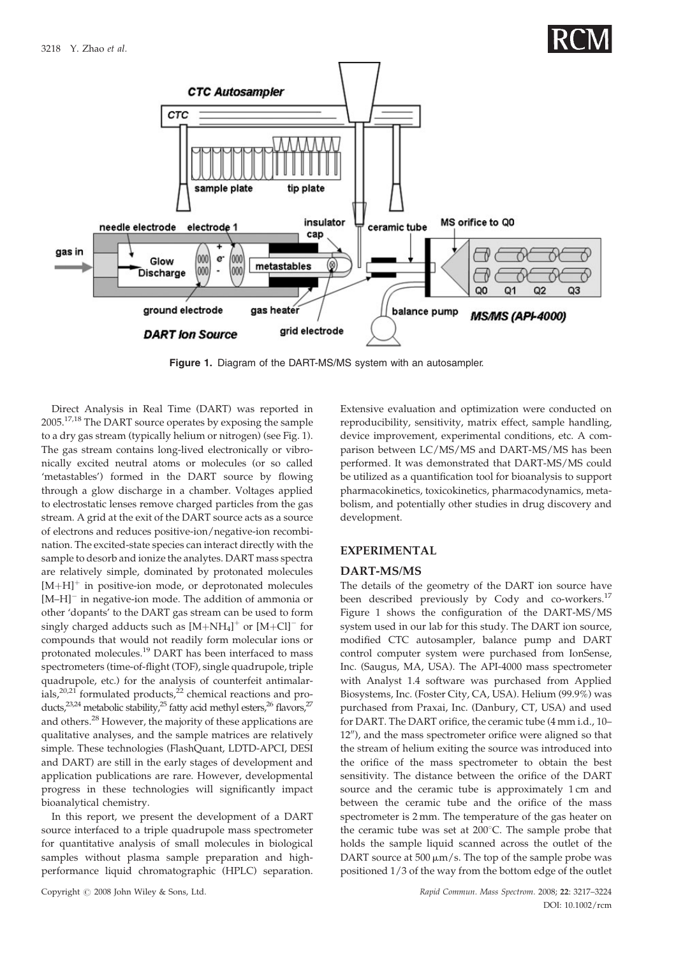

Figure 1. Diagram of the DART-MS/MS system with an autosampler.

Direct Analysis in Real Time (DART) was reported in 2005.17,18 The DART source operates by exposing the sample to a dry gas stream (typically helium or nitrogen) (see Fig. 1). The gas stream contains long-lived electronically or vibronically excited neutral atoms or molecules (or so called 'metastables') formed in the DART source by flowing through a glow discharge in a chamber. Voltages applied to electrostatic lenses remove charged particles from the gas stream. A grid at the exit of the DART source acts as a source of electrons and reduces positive-ion/negative-ion recombination. The excited-state species can interact directly with the sample to desorb and ionize the analytes. DART mass spectra are relatively simple, dominated by protonated molecules  $[M+H]^+$  in positive-ion mode, or deprotonated molecules  $[M-H]$ <sup>-</sup> in negative-ion mode. The addition of ammonia or other 'dopants' to the DART gas stream can be used to form singly charged adducts such as  $[M+NH_4]^+$  or  $[M+Cl]^-$  for compounds that would not readily form molecular ions or protonated molecules.19 DART has been interfaced to mass spectrometers (time-of-flight (TOF), single quadrupole, triple quadrupole, etc.) for the analysis of counterfeit antimalarials,<sup>20,21</sup> formulated products,<sup>22</sup> chemical reactions and products,<sup>23,24</sup> metabolic stability,<sup>25</sup> fatty acid methyl esters,<sup>26</sup> flavors,<sup>27</sup> and others.<sup>28</sup> However, the majority of these applications are qualitative analyses, and the sample matrices are relatively simple. These technologies (FlashQuant, LDTD-APCI, DESI and DART) are still in the early stages of development and application publications are rare. However, developmental progress in these technologies will significantly impact bioanalytical chemistry.

In this report, we present the development of a DART source interfaced to a triple quadrupole mass spectrometer for quantitative analysis of small molecules in biological samples without plasma sample preparation and highperformance liquid chromatographic (HPLC) separation.

Extensive evaluation and optimization were conducted on reproducibility, sensitivity, matrix effect, sample handling, device improvement, experimental conditions, etc. A comparison between LC/MS/MS and DART-MS/MS has been performed. It was demonstrated that DART-MS/MS could be utilized as a quantification tool for bioanalysis to support pharmacokinetics, toxicokinetics, pharmacodynamics, metabolism, and potentially other studies in drug discovery and development.

# EXPERIMENTAL

# DART-MS/MS

The details of the geometry of the DART ion source have been described previously by Cody and co-workers.<sup>17</sup> Figure 1 shows the configuration of the DART-MS/MS system used in our lab for this study. The DART ion source, modified CTC autosampler, balance pump and DART control computer system were purchased from IonSense, Inc. (Saugus, MA, USA). The API-4000 mass spectrometer with Analyst 1.4 software was purchased from Applied Biosystems, Inc. (Foster City, CA, USA). Helium (99.9%) was purchased from Praxai, Inc. (Danbury, CT, USA) and used for DART. The DART orifice, the ceramic tube (4 mm i.d., 10– 12"), and the mass spectrometer orifice were aligned so that the stream of helium exiting the source was introduced into the orifice of the mass spectrometer to obtain the best sensitivity. The distance between the orifice of the DART source and the ceramic tube is approximately 1 cm and between the ceramic tube and the orifice of the mass spectrometer is 2 mm. The temperature of the gas heater on the ceramic tube was set at 200°C. The sample probe that holds the sample liquid scanned across the outlet of the DART source at 500  $\mu$ m/s. The top of the sample probe was positioned 1/3 of the way from the bottom edge of the outlet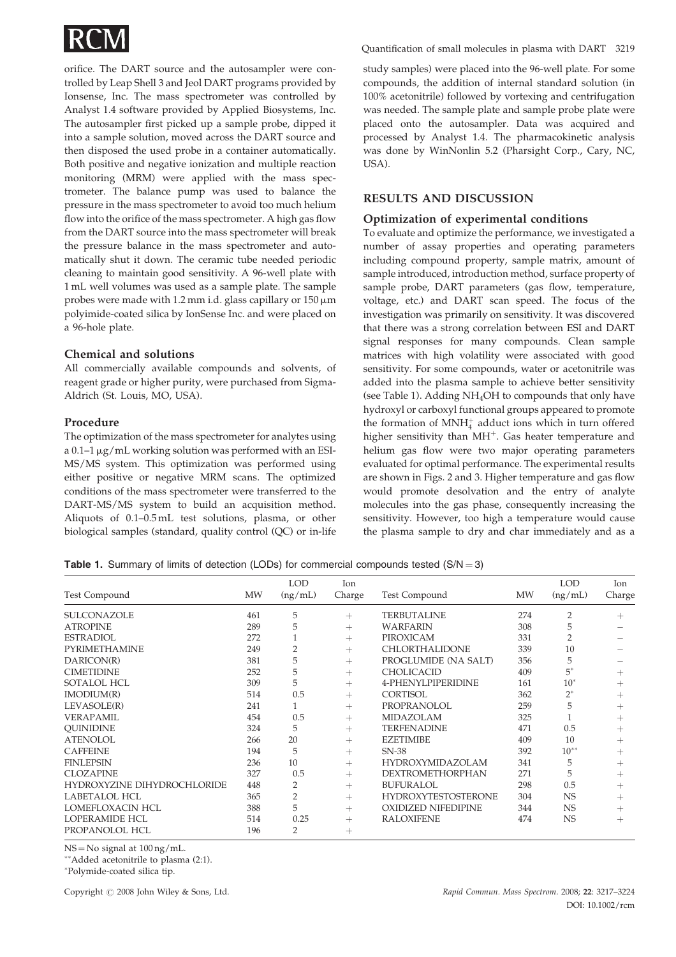

orifice. The DART source and the autosampler were controlled by Leap Shell 3 and Jeol DART programs provided by Ionsense, Inc. The mass spectrometer was controlled by Analyst 1.4 software provided by Applied Biosystems, Inc. The autosampler first picked up a sample probe, dipped it into a sample solution, moved across the DART source and then disposed the used probe in a container automatically. Both positive and negative ionization and multiple reaction monitoring (MRM) were applied with the mass spectrometer. The balance pump was used to balance the pressure in the mass spectrometer to avoid too much helium flow into the orifice of the mass spectrometer. A high gas flow from the DART source into the mass spectrometer will break the pressure balance in the mass spectrometer and automatically shut it down. The ceramic tube needed periodic cleaning to maintain good sensitivity. A 96-well plate with 1 mL well volumes was used as a sample plate. The sample probes were made with 1.2 mm i.d. glass capillary or  $150 \,\mu m$ polyimide-coated silica by IonSense Inc. and were placed on a 96-hole plate.

# Chemical and solutions

All commercially available compounds and solvents, of reagent grade or higher purity, were purchased from Sigma-Aldrich (St. Louis, MO, USA).

# Procedure

The optimization of the mass spectrometer for analytes using a 0.1–1  $\mu$ g/mL working solution was performed with an ESI-MS/MS system. This optimization was performed using either positive or negative MRM scans. The optimized conditions of the mass spectrometer were transferred to the DART-MS/MS system to build an acquisition method. Aliquots of 0.1–0.5 mL test solutions, plasma, or other biological samples (standard, quality control (QC) or in-life

study samples) were placed into the 96-well plate. For some compounds, the addition of internal standard solution (in 100% acetonitrile) followed by vortexing and centrifugation was needed. The sample plate and sample probe plate were placed onto the autosampler. Data was acquired and processed by Analyst 1.4. The pharmacokinetic analysis was done by WinNonlin 5.2 (Pharsight Corp., Cary, NC, USA).

# RESULTS AND DISCUSSION

# Optimization of experimental conditions

To evaluate and optimize the performance, we investigated a number of assay properties and operating parameters including compound property, sample matrix, amount of sample introduced, introduction method, surface property of sample probe, DART parameters (gas flow, temperature, voltage, etc.) and DART scan speed. The focus of the investigation was primarily on sensitivity. It was discovered that there was a strong correlation between ESI and DART signal responses for many compounds. Clean sample matrices with high volatility were associated with good sensitivity. For some compounds, water or acetonitrile was added into the plasma sample to achieve better sensitivity (see Table 1). Adding NH4OH to compounds that only have hydroxyl or carboxyl functional groups appeared to promote the formation of  $MNH_4^+$  adduct ions which in turn offered higher sensitivity than  $MH^+$ . Gas heater temperature and helium gas flow were two major operating parameters evaluated for optimal performance. The experimental results are shown in Figs. 2 and 3. Higher temperature and gas flow would promote desolvation and the entry of analyte molecules into the gas phase, consequently increasing the sensitivity. However, too high a temperature would cause the plasma sample to dry and char immediately and as a

**Table 1.** Summary of limits of detection (LODs) for commercial compounds tested  $(S/N = 3)$ 

| <b>Test Compound</b>        | <b>MW</b> | <b>LOD</b><br>(ng/mL) | Ion<br>Charge | <b>Test Compound</b>       | MW  | <b>LOD</b><br>(ng/mL) | Ion<br>Charge |
|-----------------------------|-----------|-----------------------|---------------|----------------------------|-----|-----------------------|---------------|
| <b>SULCONAZOLE</b>          | 461       | 5                     | $^{+}$        | <b>TERBUTALINE</b>         | 274 | $\overline{2}$        | $^{+}$        |
| <b>ATROPINE</b>             | 289       | 5                     | $^{+}$        | <b>WARFARIN</b>            | 308 | 5                     |               |
| <b>ESTRADIOL</b>            | 272       |                       | $^{+}$        | PIROXICAM                  | 331 | $\overline{2}$        |               |
| <b>PYRIMETHAMINE</b>        | 249       | $\overline{2}$        | $^{+}$        | CHLORTHALIDONE             | 339 | 10                    |               |
| DARICON(R)                  | 381       | 5                     | $^{+}$        | PROGLUMIDE (NA SALT)       | 356 | 5                     |               |
| <b>CIMETIDINE</b>           | 252       | 5                     | $^{+}$        | <b>CHOLICACID</b>          | 409 | $5^*$                 | $^{+}$        |
| SOTALOL HCL                 | 309       | 5                     | $^{+}$        | 4-PHENYLPIPERIDINE         | 161 | $10*$                 | $^{+}$        |
| IMODIUM(R)                  | 514       | 0.5                   | $^{+}$        | <b>CORTISOL</b>            | 362 | $2^*$                 | $^{+}$        |
| LEVASOLE(R)                 | 241       |                       | $^{+}$        | PROPRANOLOL                | 259 | 5                     | $^{+}$        |
| <b>VERAPAMIL</b>            | 454       | 0.5                   | $^{+}$        | <b>MIDAZOLAM</b>           | 325 |                       | $^{+}$        |
| <b>OUINIDINE</b>            | 324       | 5                     | $^{+}$        | <b>TERFENADINE</b>         | 471 | 0.5                   | $^{+}$        |
| <b>ATENOLOL</b>             | 266       | 20                    | $^{+}$        | <b>EZETIMIBE</b>           | 409 | 10                    | $^{+}$        |
| <b>CAFFEINE</b>             | 194       | 5                     | $^{+}$        | $SN-38$                    | 392 | $10^{**}$             | $^{+}$        |
| <b>FINLEPSIN</b>            | 236       | 10                    | $^{+}$        | <b>HYDROXYMIDAZOLAM</b>    | 341 | 5                     | $^{+}$        |
| <b>CLOZAPINE</b>            | 327       | 0.5                   | $^{+}$        | <b>DEXTROMETHORPHAN</b>    | 271 | 5                     | $^{+}$        |
| HYDROXYZINE DIHYDROCHLORIDE | 448       | $\overline{2}$        | $^{+}$        | <b>BUFURALOL</b>           | 298 | 0.5                   | $^{+}$        |
| <b>LABETALOL HCL</b>        | 365       | $\overline{2}$        | $^{+}$        | <b>HYDROXYTESTOSTERONE</b> | 304 | <b>NS</b>             | $^{+}$        |
| <b>LOMEFLOXACIN HCL</b>     | 388       | 5                     | $^{+}$        | <b>OXIDIZED NIFEDIPINE</b> | 344 | <b>NS</b>             | $^+$          |
| <b>LOPERAMIDE HCL</b>       | 514       | 0.25                  | $^{+}$        | <b>RALOXIFENE</b>          | 474 | <b>NS</b>             | $^{+}$        |
| PROPANOLOL HCL              | 196       | $\overline{2}$        | $^{+}$        |                            |     |                       |               |

 $NS = No$  signal at  $100$  ng/mL.

\*Added acetonitrile to plasma (2:1).

- Polymide-coated silica tip.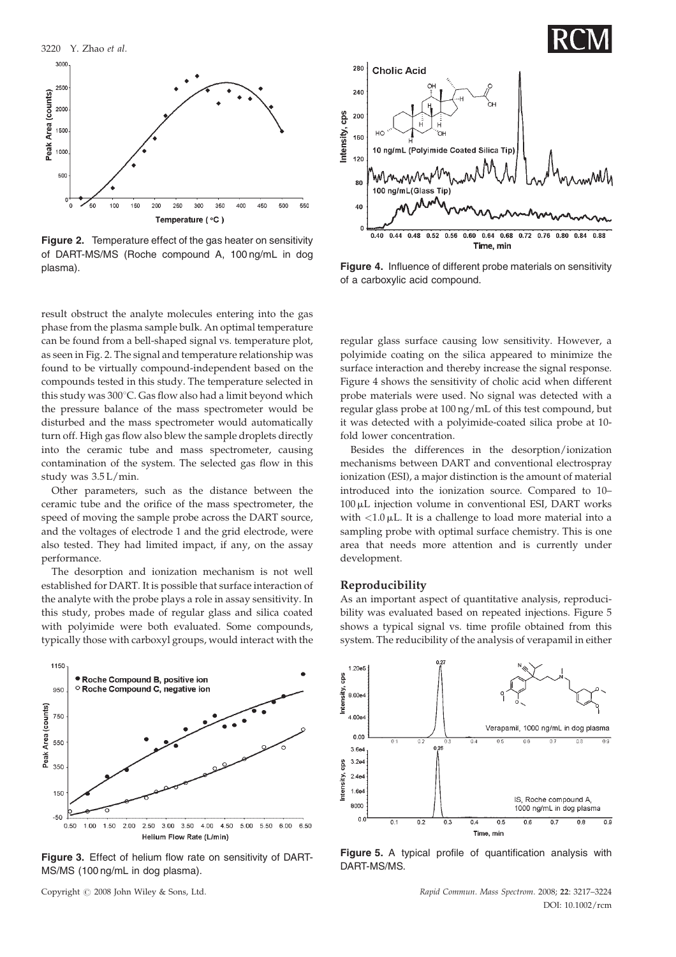

Figure 2. Temperature effect of the gas heater on sensitivity of DART-MS/MS (Roche compound A, 100 ng/mL in dog plasma).

result obstruct the analyte molecules entering into the gas phase from the plasma sample bulk. An optimal temperature can be found from a bell-shaped signal vs. temperature plot, as seen in Fig. 2. The signal and temperature relationship was found to be virtually compound-independent based on the compounds tested in this study. The temperature selected in this study was  $300^{\circ}$ C. Gas flow also had a limit beyond which the pressure balance of the mass spectrometer would be disturbed and the mass spectrometer would automatically turn off. High gas flow also blew the sample droplets directly into the ceramic tube and mass spectrometer, causing contamination of the system. The selected gas flow in this study was 3.5 L/min.

Other parameters, such as the distance between the ceramic tube and the orifice of the mass spectrometer, the speed of moving the sample probe across the DART source, and the voltages of electrode 1 and the grid electrode, were also tested. They had limited impact, if any, on the assay performance.

The desorption and ionization mechanism is not well established for DART. It is possible that surface interaction of the analyte with the probe plays a role in assay sensitivity. In this study, probes made of regular glass and silica coated with polyimide were both evaluated. Some compounds, typically those with carboxyl groups, would interact with the



Figure 3. Effect of helium flow rate on sensitivity of DART-MS/MS (100 ng/mL in dog plasma).



Figure 4. Influence of different probe materials on sensitivity of a carboxylic acid compound.

regular glass surface causing low sensitivity. However, a polyimide coating on the silica appeared to minimize the surface interaction and thereby increase the signal response. Figure 4 shows the sensitivity of cholic acid when different probe materials were used. No signal was detected with a regular glass probe at 100 ng/mL of this test compound, but it was detected with a polyimide-coated silica probe at 10 fold lower concentration.

Besides the differences in the desorption/ionization mechanisms between DART and conventional electrospray ionization (ESI), a major distinction is the amount of material introduced into the ionization source. Compared to 10–  $100 \mu$ L injection volume in conventional ESI, DART works with  $\langle 1.0 \mu L$ . It is a challenge to load more material into a sampling probe with optimal surface chemistry. This is one area that needs more attention and is currently under development.

#### Reproducibility

As an important aspect of quantitative analysis, reproducibility was evaluated based on repeated injections. Figure 5 shows a typical signal vs. time profile obtained from this system. The reducibility of the analysis of verapamil in either



Figure 5. A typical profile of quantification analysis with DART-MS/MS.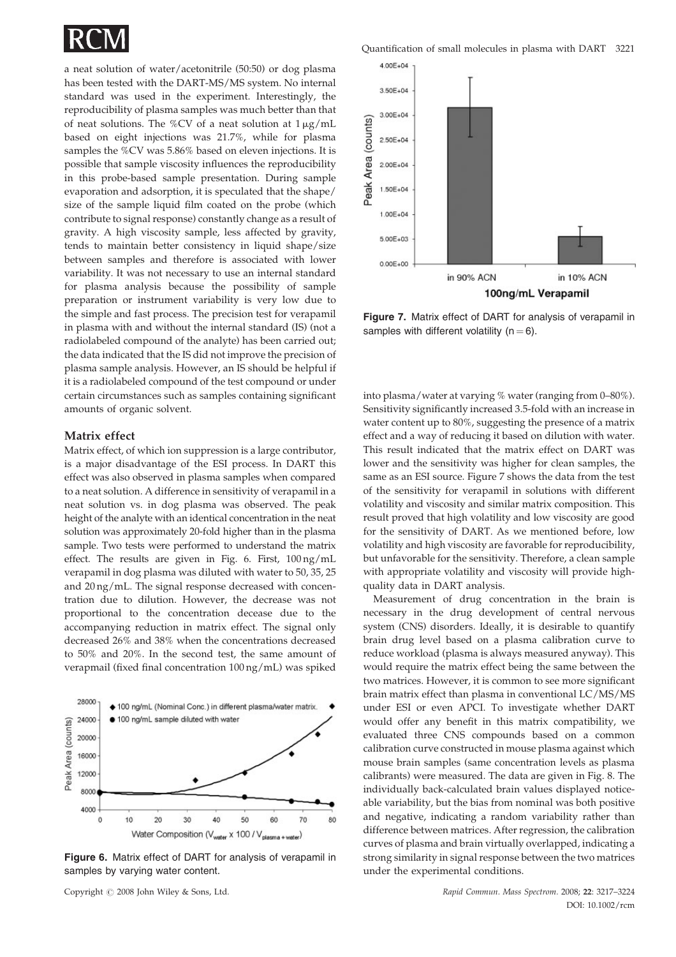

a neat solution of water/acetonitrile (50:50) or dog plasma has been tested with the DART-MS/MS system. No internal standard was used in the experiment. Interestingly, the reproducibility of plasma samples was much better than that of neat solutions. The %CV of a neat solution at  $1 \mu g/mL$ based on eight injections was 21.7%, while for plasma samples the %CV was 5.86% based on eleven injections. It is possible that sample viscosity influences the reproducibility in this probe-based sample presentation. During sample evaporation and adsorption, it is speculated that the shape/ size of the sample liquid film coated on the probe (which contribute to signal response) constantly change as a result of gravity. A high viscosity sample, less affected by gravity, tends to maintain better consistency in liquid shape/size between samples and therefore is associated with lower variability. It was not necessary to use an internal standard for plasma analysis because the possibility of sample preparation or instrument variability is very low due to the simple and fast process. The precision test for verapamil in plasma with and without the internal standard (IS) (not a radiolabeled compound of the analyte) has been carried out; the data indicated that the IS did not improve the precision of plasma sample analysis. However, an IS should be helpful if it is a radiolabeled compound of the test compound or under certain circumstances such as samples containing significant amounts of organic solvent.

#### Matrix effect

Matrix effect, of which ion suppression is a large contributor, is a major disadvantage of the ESI process. In DART this effect was also observed in plasma samples when compared to a neat solution. A difference in sensitivity of verapamil in a neat solution vs. in dog plasma was observed. The peak height of the analyte with an identical concentration in the neat solution was approximately 20-fold higher than in the plasma sample. Two tests were performed to understand the matrix effect. The results are given in Fig. 6. First, 100 ng/mL verapamil in dog plasma was diluted with water to 50, 35, 25 and 20 ng/mL. The signal response decreased with concentration due to dilution. However, the decrease was not proportional to the concentration decease due to the accompanying reduction in matrix effect. The signal only decreased 26% and 38% when the concentrations decreased to 50% and 20%. In the second test, the same amount of verapmail (fixed final concentration 100 ng/mL) was spiked



Figure 6. Matrix effect of DART for analysis of verapamil in samples by varying water content.



Figure 7. Matrix effect of DART for analysis of verapamil in samples with different volatility  $(n = 6)$ .

into plasma/water at varying % water (ranging from 0–80%). Sensitivity significantly increased 3.5-fold with an increase in water content up to 80%, suggesting the presence of a matrix effect and a way of reducing it based on dilution with water. This result indicated that the matrix effect on DART was lower and the sensitivity was higher for clean samples, the same as an ESI source. Figure 7 shows the data from the test of the sensitivity for verapamil in solutions with different volatility and viscosity and similar matrix composition. This result proved that high volatility and low viscosity are good for the sensitivity of DART. As we mentioned before, low volatility and high viscosity are favorable for reproducibility, but unfavorable for the sensitivity. Therefore, a clean sample with appropriate volatility and viscosity will provide highquality data in DART analysis.

Measurement of drug concentration in the brain is necessary in the drug development of central nervous system (CNS) disorders. Ideally, it is desirable to quantify brain drug level based on a plasma calibration curve to reduce workload (plasma is always measured anyway). This would require the matrix effect being the same between the two matrices. However, it is common to see more significant brain matrix effect than plasma in conventional LC/MS/MS under ESI or even APCI. To investigate whether DART would offer any benefit in this matrix compatibility, we evaluated three CNS compounds based on a common calibration curve constructed in mouse plasma against which mouse brain samples (same concentration levels as plasma calibrants) were measured. The data are given in Fig. 8. The individually back-calculated brain values displayed noticeable variability, but the bias from nominal was both positive and negative, indicating a random variability rather than difference between matrices. After regression, the calibration curves of plasma and brain virtually overlapped, indicating a strong similarity in signal response between the two matrices under the experimental conditions.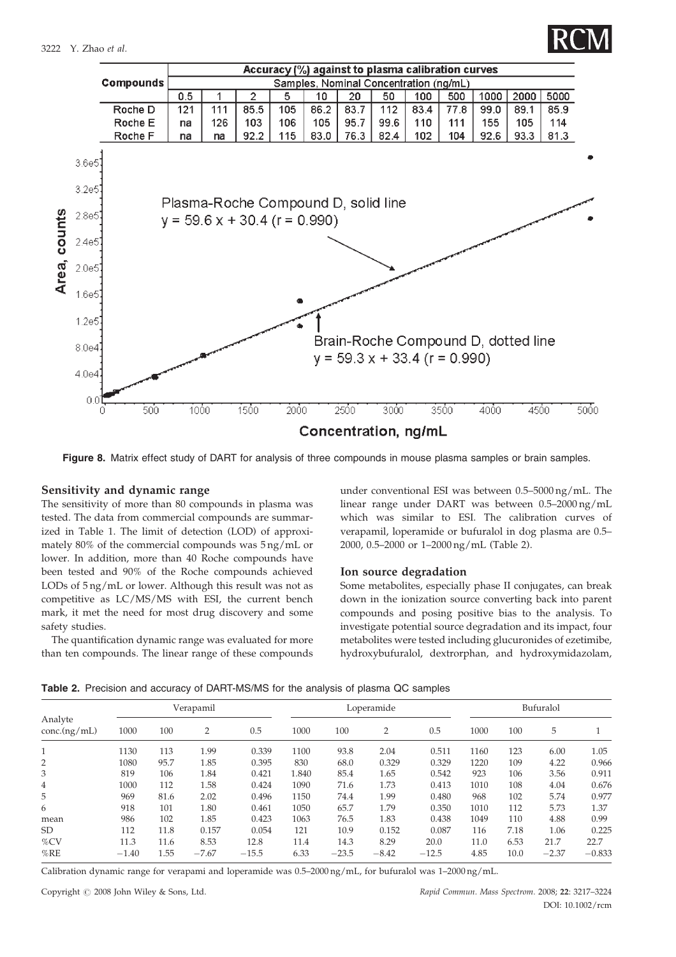



Figure 8. Matrix effect study of DART for analysis of three compounds in mouse plasma samples or brain samples.

# Sensitivity and dynamic range

The sensitivity of more than 80 compounds in plasma was tested. The data from commercial compounds are summarized in Table 1. The limit of detection (LOD) of approximately 80% of the commercial compounds was 5 ng/mL or lower. In addition, more than 40 Roche compounds have been tested and 90% of the Roche compounds achieved LODs of 5 ng/mL or lower. Although this result was not as competitive as LC/MS/MS with ESI, the current bench mark, it met the need for most drug discovery and some safety studies.

The quantification dynamic range was evaluated for more than ten compounds. The linear range of these compounds under conventional ESI was between 0.5–5000 ng/mL. The linear range under DART was between 0.5–2000 ng/mL which was similar to ESI. The calibration curves of verapamil, loperamide or bufuralol in dog plasma are 0.5– 2000, 0.5–2000 or 1–2000 ng/mL (Table 2).

# Ion source degradation

Some metabolites, especially phase II conjugates, can break down in the ionization source converting back into parent compounds and posing positive bias to the analysis. To investigate potential source degradation and its impact, four metabolites were tested including glucuronides of ezetimibe, hydroxybufuralol, dextrorphan, and hydroxymidazolam,

|  |  | Table 2. Precision and accuracy of DART-MS/MS for the analysis of plasma QC samples |  |  |  |  |
|--|--|-------------------------------------------------------------------------------------|--|--|--|--|
|  |  |                                                                                     |  |  |  |  |

| Analyte<br>conc.(ng/mL) |         |      | Verapamil |         |       |         | Loperamide     | Bufuralol |      |      |         |          |
|-------------------------|---------|------|-----------|---------|-------|---------|----------------|-----------|------|------|---------|----------|
|                         | 1000    | 100  | 2         | 0.5     | 1000  | 100     | $\overline{2}$ | 0.5       | 1000 | 100  | 5       |          |
| $\mathbf{1}$            | 1130    | 113  | 1.99      | 0.339   | 1100  | 93.8    | 2.04           | 0.511     | 1160 | 123  | 6.00    | 1.05     |
| $\overline{2}$          | 1080    | 95.7 | 1.85      | 0.395   | 830   | 68.0    | 0.329          | 0.329     | 1220 | 109  | 4.22    | 0.966    |
| 3                       | 819     | 106  | 1.84      | 0.421   | 1.840 | 85.4    | 1.65           | 0.542     | 923  | 106  | 3.56    | 0.911    |
| 4                       | 1000    | 112  | 1.58      | 0.424   | 1090  | 71.6    | 1.73           | 0.413     | 1010 | 108  | 4.04    | 0.676    |
| 5                       | 969     | 81.6 | 2.02      | 0.496   | 1150  | 74.4    | 1.99           | 0.480     | 968  | 102  | 5.74    | 0.977    |
| 6                       | 918     | 101  | 1.80      | 0.461   | 1050  | 65.7    | 1.79           | 0.350     | 1010 | 112  | 5.73    | 1.37     |
| mean                    | 986     | 102  | 1.85      | 0.423   | 1063  | 76.5    | 1.83           | 0.438     | 1049 | 110  | 4.88    | 0.99     |
| SD.                     | 112     | 11.8 | 0.157     | 0.054   | 121   | 10.9    | 0.152          | 0.087     | 116  | 7.18 | 1.06    | 0.225    |
| $\%CV$                  | 11.3    | 11.6 | 8.53      | 12.8    | 11.4  | 14.3    | 8.29           | 20.0      | 11.0 | 6.53 | 21.7    | 22.7     |
| %RE                     | $-1.40$ | 1.55 | $-7.67$   | $-15.5$ | 6.33  | $-23.5$ | $-8.42$        | $-12.5$   | 4.85 | 10.0 | $-2.37$ | $-0.833$ |

Calibration dynamic range for verapami and loperamide was 0.5–2000 ng/mL, for bufuralol was 1–2000 ng/mL.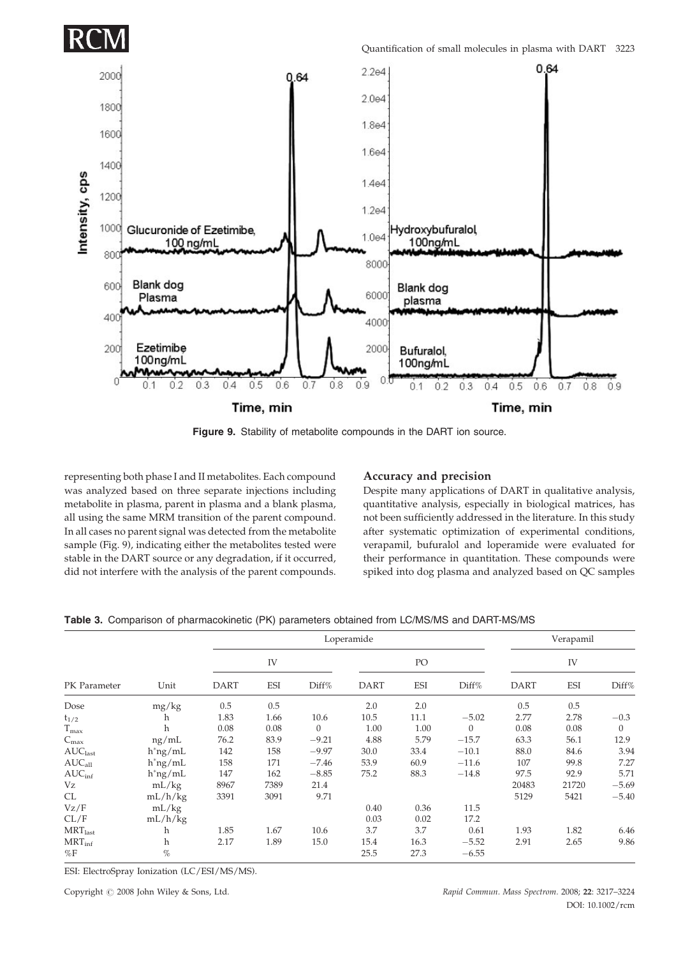



Figure 9. Stability of metabolite compounds in the DART ion source.

representing both phase I and II metabolites. Each compound was analyzed based on three separate injections including metabolite in plasma, parent in plasma and a blank plasma, all using the same MRM transition of the parent compound. In all cases no parent signal was detected from the metabolite sample (Fig. 9), indicating either the metabolites tested were stable in the DART source or any degradation, if it occurred, did not interfere with the analysis of the parent compounds.

# Accuracy and precision

Despite many applications of DART in qualitative analysis, quantitative analysis, especially in biological matrices, has not been sufficiently addressed in the literature. In this study after systematic optimization of experimental conditions, verapamil, bufuralol and loperamide were evaluated for their performance in quantitation. These compounds were spiked into dog plasma and analyzed based on QC samples

| PK Parameter        | Unit        |             |            | Verapamil |             |            |          |             |            |          |  |
|---------------------|-------------|-------------|------------|-----------|-------------|------------|----------|-------------|------------|----------|--|
|                     |             | IV          |            |           |             | PO         |          | IV          |            |          |  |
|                     |             | <b>DART</b> | <b>ESI</b> | Diff%     | <b>DART</b> | <b>ESI</b> | Diff%    | <b>DART</b> | <b>ESI</b> | Diff%    |  |
| Dose                | mg/kg       | 0.5         | 0.5        |           | 2.0         | 2.0        |          | 0.5         | 0.5        |          |  |
| $t_{1/2}$           | h           | 1.83        | 1.66       | 10.6      | 10.5        | 11.1       | $-5.02$  | 2.77        | 2.78       | $-0.3$   |  |
| $T_{\rm max}$       | h           | 0.08        | 0.08       | $\theta$  | 1.00        | 1.00       | $\theta$ | 0.08        | 0.08       | $\theta$ |  |
| $C_{\text{max}}$    | ng/mL       | 76.2        | 83.9       | $-9.21$   | 4.88        | 5.79       | $-15.7$  | 63.3        | 56.1       | 12.9     |  |
| AUC <sub>last</sub> | $h*$ ng/mL  | 142         | 158        | $-9.97$   | 30.0        | 33.4       | $-10.1$  | 88.0        | 84.6       | 3.94     |  |
| AUC <sub>all</sub>  | $h^*$ ng/mL | 158         | 171        | $-7.46$   | 53.9        | 60.9       | $-11.6$  | 107         | 99.8       | 7.27     |  |
| $AUC_{\text{inf}}$  | $h*$ ng/mL  | 147         | 162        | $-8.85$   | 75.2        | 88.3       | $-14.8$  | 97.5        | 92.9       | 5.71     |  |
| $V_{Z}$             | mL/kg       | 8967        | 7389       | 21.4      |             |            |          | 20483       | 21720      | $-5.69$  |  |
| CL                  | mL/h/kg     | 3391        | 3091       | 9.71      |             |            |          | 5129        | 5421       | $-5.40$  |  |
| Vz/F                | mL/kg       |             |            |           | 0.40        | 0.36       | 11.5     |             |            |          |  |
| CL/F                | mL/h/kg     |             |            |           | 0.03        | 0.02       | 17.2     |             |            |          |  |
| MRT <sub>last</sub> | h           | 1.85        | 1.67       | 10.6      | 3.7         | 3.7        | 0.61     | 1.93        | 1.82       | 6.46     |  |
| $MRT_{inf}$         | h           | 2.17        | 1.89       | 15.0      | 15.4        | 16.3       | $-5.52$  | 2.91        | 2.65       | 9.86     |  |
| %F                  | $\%$        |             |            |           | 25.5        | 27.3       | $-6.55$  |             |            |          |  |

ESI: ElectroSpray Ionization (LC/ESI/MS/MS).